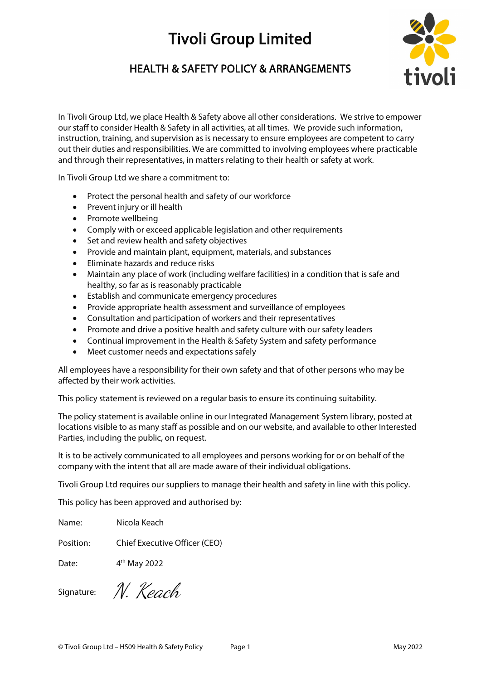# HEALTH & SAFETY POLICY & ARRANGEMENTS



In Tivoli Group Ltd, we place Health & Safety above all other considerations. We strive to empower our staff to consider Health & Safety in all activities, at all times. We provide such information, instruction, training, and supervision as is necessary to ensure employees are competent to carry out their duties and responsibilities. We are committed to involving employees where practicable and through their representatives, in matters relating to their health or safety at work.

In Tivoli Group Ltd we share a commitment to:

- Protect the personal health and safety of our workforce
- Prevent injury or ill health
- Promote wellbeing
- Comply with or exceed applicable legislation and other requirements
- Set and review health and safety objectives
- Provide and maintain plant, equipment, materials, and substances
- Eliminate hazards and reduce risks
- Maintain any place of work (including welfare facilities) in a condition that is safe and healthy, so far as is reasonably practicable
- Establish and communicate emergency procedures
- Provide appropriate health assessment and surveillance of employees
- Consultation and participation of workers and their representatives
- Promote and drive a positive health and safety culture with our safety leaders
- Continual improvement in the Health & Safety System and safety performance
- Meet customer needs and expectations safely

All employees have a responsibility for their own safety and that of other persons who may be affected by their work activities.

This policy statement is reviewed on a regular basis to ensure its continuing suitability.

The policy statement is available online in our Integrated Management System library, posted at locations visible to as many staff as possible and on our website, and available to other Interested Parties, including the public, on request.

It is to be actively communicated to all employees and persons working for or on behalf of the company with the intent that all are made aware of their individual obligations.

Tivoli Group Ltd requires our suppliers to manage their health and safety in line with this policy.

This policy has been approved and authorised by:

Name: Nicola Keach

Position: Chief Executive Officer (CEO)

Date: 4th May 2022

Signature:

N. Keach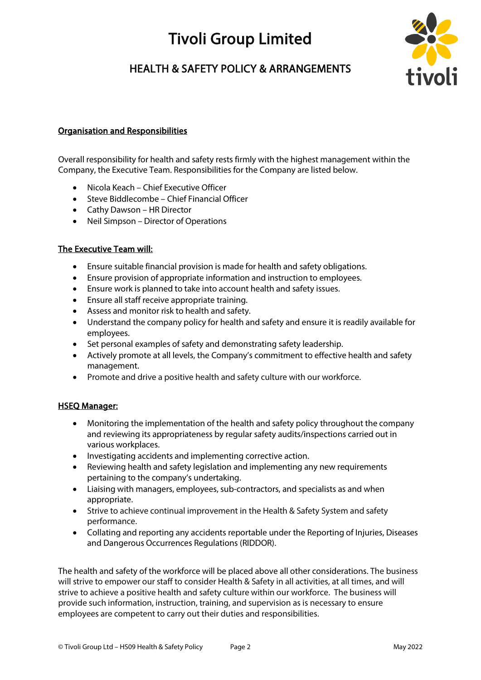# HEALTH & SAFETY POLICY & ARRANGEMENTS



## Organisation and Responsibilities

Overall responsibility for health and safety rests firmly with the highest management within the Company, the Executive Team. Responsibilities for the Company are listed below.

- Nicola Keach Chief Executive Officer
- Steve Biddlecombe Chief Financial Officer
- Cathy Dawson HR Director
- Neil Simpson Director of Operations

### The Executive Team will:

- Ensure suitable financial provision is made for health and safety obligations.
- Ensure provision of appropriate information and instruction to employees.
- Ensure work is planned to take into account health and safety issues.
- Ensure all staff receive appropriate training.
- Assess and monitor risk to health and safety.
- Understand the company policy for health and safety and ensure it is readily available for employees.
- Set personal examples of safety and demonstrating safety leadership.
- Actively promote at all levels, the Company's commitment to effective health and safety management.
- Promote and drive a positive health and safety culture with our workforce.

### HSEQ Manager:

- Monitoring the implementation of the health and safety policy throughout the company and reviewing its appropriateness by regular safety audits/inspections carried out in various workplaces.
- Investigating accidents and implementing corrective action.
- Reviewing health and safety legislation and implementing any new requirements pertaining to the company's undertaking.
- Liaising with managers, employees, sub-contractors, and specialists as and when appropriate.
- Strive to achieve continual improvement in the Health & Safety System and safety performance.
- Collating and reporting any accidents reportable under the Reporting of Injuries, Diseases and Dangerous Occurrences Regulations (RIDDOR).

The health and safety of the workforce will be placed above all other considerations. The business will strive to empower our staff to consider Health & Safety in all activities, at all times, and will strive to achieve a positive health and safety culture within our workforce. The business will provide such information, instruction, training, and supervision as is necessary to ensure employees are competent to carry out their duties and responsibilities.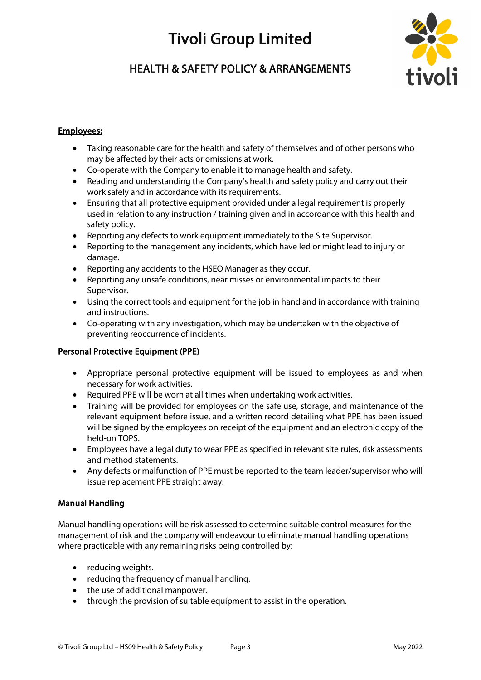# HEALTH & SAFETY POLICY & ARRANGEMENTS



## Employees:

- Taking reasonable care for the health and safety of themselves and of other persons who may be affected by their acts or omissions at work.
- Co-operate with the Company to enable it to manage health and safety.
- Reading and understanding the Company's health and safety policy and carry out their work safely and in accordance with its requirements.
- Ensuring that all protective equipment provided under a legal requirement is properly used in relation to any instruction / training given and in accordance with this health and safety policy.
- Reporting any defects to work equipment immediately to the Site Supervisor.
- Reporting to the management any incidents, which have led or might lead to injury or damage.
- Reporting any accidents to the HSEQ Manager as they occur.
- Reporting any unsafe conditions, near misses or environmental impacts to their Supervisor.
- Using the correct tools and equipment for the job in hand and in accordance with training and instructions.
- Co-operating with any investigation, which may be undertaken with the objective of preventing reoccurrence of incidents.

## Personal Protective Equipment (PPE)

- Appropriate personal protective equipment will be issued to employees as and when necessary for work activities.
- Required PPE will be worn at all times when undertaking work activities.
- Training will be provided for employees on the safe use, storage, and maintenance of the relevant equipment before issue, and a written record detailing what PPE has been issued will be signed by the employees on receipt of the equipment and an electronic copy of the held-on TOPS.
- Employees have a legal duty to wear PPE as specified in relevant site rules, risk assessments and method statements.
- Any defects or malfunction of PPE must be reported to the team leader/supervisor who will issue replacement PPE straight away.

### Manual Handling

Manual handling operations will be risk assessed to determine suitable control measures for the management of risk and the company will endeavour to eliminate manual handling operations where practicable with any remaining risks being controlled by:

- reducing weights.
- reducing the frequency of manual handling.
- the use of additional manpower.
- through the provision of suitable equipment to assist in the operation.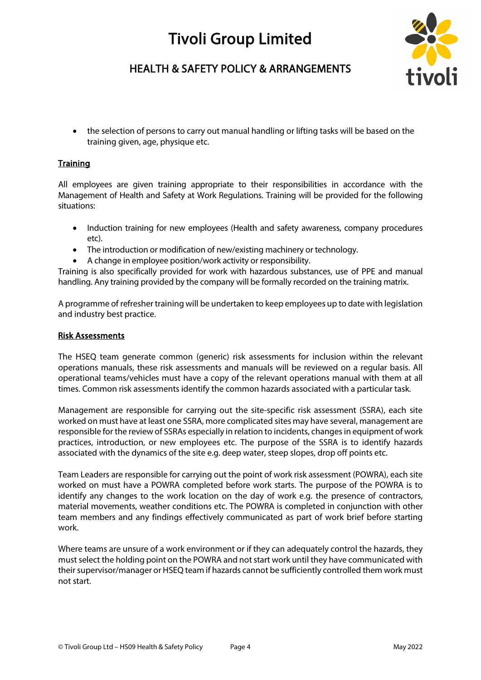

## HEALTH & SAFETY POLICY & ARRANGEMENTS

• the selection of persons to carry out manual handling or lifting tasks will be based on the training given, age, physique etc.

### **Training**

All employees are given training appropriate to their responsibilities in accordance with the Management of Health and Safety at Work Regulations. Training will be provided for the following situations:

- Induction training for new employees (Health and safety awareness, company procedures etc).
- The introduction or modification of new/existing machinery or technology.
- A change in employee position/work activity or responsibility.

Training is also specifically provided for work with hazardous substances, use of PPE and manual handling. Any training provided by the company will be formally recorded on the training matrix.

A programme of refresher training will be undertaken to keep employees up to date with legislation and industry best practice.

#### Risk Assessments

The HSEQ team generate common (generic) risk assessments for inclusion within the relevant operations manuals, these risk assessments and manuals will be reviewed on a regular basis. All operational teams/vehicles must have a copy of the relevant operations manual with them at all times. Common risk assessments identify the common hazards associated with a particular task.

Management are responsible for carrying out the site-specific risk assessment (SSRA), each site worked on must have at least one SSRA, more complicated sites may have several, management are responsible for the review of SSRAs especially in relation to incidents, changes in equipment of work practices, introduction, or new employees etc. The purpose of the SSRA is to identify hazards associated with the dynamics of the site e.g. deep water, steep slopes, drop off points etc.

Team Leaders are responsible for carrying out the point of work risk assessment (POWRA), each site worked on must have a POWRA completed before work starts. The purpose of the POWRA is to identify any changes to the work location on the day of work e.g. the presence of contractors, material movements, weather conditions etc. The POWRA is completed in conjunction with other team members and any findings effectively communicated as part of work brief before starting work.

Where teams are unsure of a work environment or if they can adequately control the hazards, they must select the holding point on the POWRA and not start work until they have communicated with their supervisor/manager or HSEQ team if hazards cannot be sufficiently controlled them work must not start.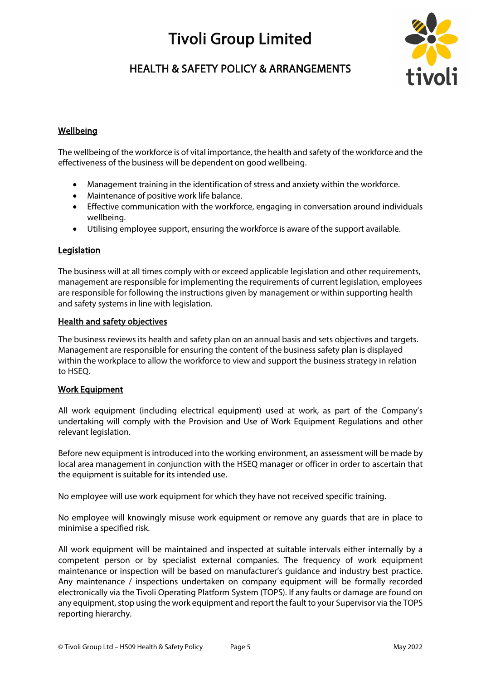# HEALTH & SAFETY POLICY & ARRANGEMENTS



## Wellbeing

The wellbeing of the workforce is of vital importance, the health and safety of the workforce and the effectiveness of the business will be dependent on good wellbeing.

- Management training in the identification of stress and anxiety within the workforce.
- Maintenance of positive work life balance.
- Effective communication with the workforce, engaging in conversation around individuals wellbeing.
- Utilising employee support, ensuring the workforce is aware of the support available.

### **Legislation**

The business will at all times comply with or exceed applicable legislation and other requirements, management are responsible for implementing the requirements of current legislation, employees are responsible for following the instructions given by management or within supporting health and safety systems in line with legislation.

### Health and safety objectives

The business reviews its health and safety plan on an annual basis and sets objectives and targets. Management are responsible for ensuring the content of the business safety plan is displayed within the workplace to allow the workforce to view and support the business strategy in relation to HSEQ.

### Work Equipment

All work equipment (including electrical equipment) used at work, as part of the Company's undertaking will comply with the Provision and Use of Work Equipment Regulations and other relevant legislation.

Before new equipment is introduced into the working environment, an assessment will be made by local area management in conjunction with the HSEQ manager or officer in order to ascertain that the equipment is suitable for its intended use.

No employee will use work equipment for which they have not received specific training.

No employee will knowingly misuse work equipment or remove any guards that are in place to minimise a specified risk.

All work equipment will be maintained and inspected at suitable intervals either internally by a competent person or by specialist external companies. The frequency of work equipment maintenance or inspection will be based on manufacturer's guidance and industry best practice. Any maintenance / inspections undertaken on company equipment will be formally recorded electronically via the Tivoli Operating Platform System (TOPS). If any faults or damage are found on any equipment, stop using the work equipment and report the fault to your Supervisor via the TOPS reporting hierarchy.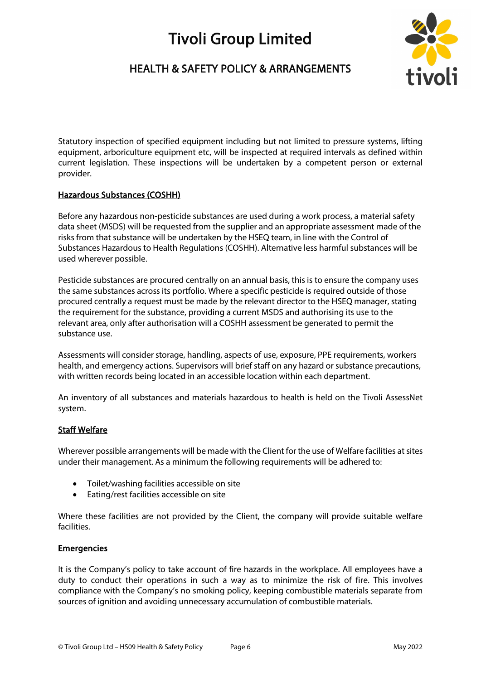## HEALTH & SAFETY POLICY & ARRANGEMENTS



Statutory inspection of specified equipment including but not limited to pressure systems, lifting equipment, arboriculture equipment etc, will be inspected at required intervals as defined within current legislation. These inspections will be undertaken by a competent person or external provider.

## Hazardous Substances (COSHH)

Before any hazardous non-pesticide substances are used during a work process, a material safety data sheet (MSDS) will be requested from the supplier and an appropriate assessment made of the risks from that substance will be undertaken by the HSEQ team, in line with the Control of Substances Hazardous to Health Regulations (COSHH). Alternative less harmful substances will be used wherever possible.

Pesticide substances are procured centrally on an annual basis, this is to ensure the company uses the same substances across its portfolio. Where a specific pesticide is required outside of those procured centrally a request must be made by the relevant director to the HSEQ manager, stating the requirement for the substance, providing a current MSDS and authorising its use to the relevant area, only after authorisation will a COSHH assessment be generated to permit the substance use.

Assessments will consider storage, handling, aspects of use, exposure, PPE requirements, workers health, and emergency actions. Supervisors will brief staff on any hazard or substance precautions, with written records being located in an accessible location within each department.

An inventory of all substances and materials hazardous to health is held on the Tivoli AssessNet system.

## Staff Welfare

Wherever possible arrangements will be made with the Client for the use of Welfare facilities at sites under their management. As a minimum the following requirements will be adhered to:

- Toilet/washing facilities accessible on site
- Eating/rest facilities accessible on site

Where these facilities are not provided by the Client, the company will provide suitable welfare facilities.

### **Emergencies**

It is the Company's policy to take account of fire hazards in the workplace. All employees have a duty to conduct their operations in such a way as to minimize the risk of fire. This involves compliance with the Company's no smoking policy, keeping combustible materials separate from sources of ignition and avoiding unnecessary accumulation of combustible materials.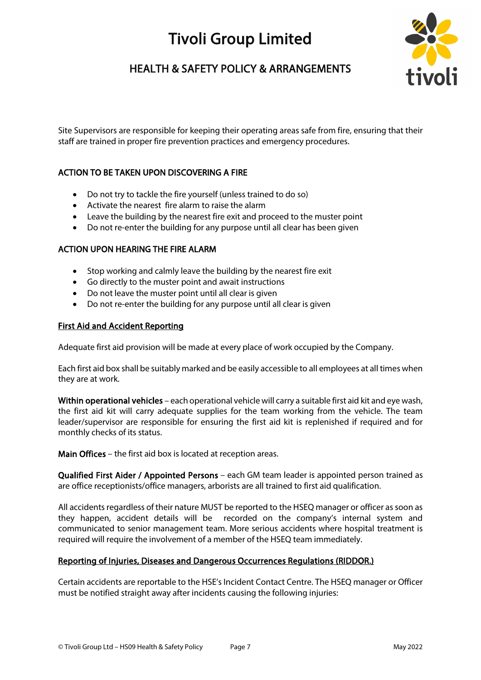# HEALTH & SAFETY POLICY & ARRANGEMENTS



Site Supervisors are responsible for keeping their operating areas safe from fire, ensuring that their staff are trained in proper fire prevention practices and emergency procedures.

## ACTION TO BE TAKEN UPON DISCOVERING A FIRE

- Do not try to tackle the fire yourself (unless trained to do so)
- Activate the nearest fire alarm to raise the alarm
- Leave the building by the nearest fire exit and proceed to the muster point
- Do not re-enter the building for any purpose until all clear has been given

### ACTION UPON HEARING THE FIRE ALARM

- Stop working and calmly leave the building by the nearest fire exit
- Go directly to the muster point and await instructions
- Do not leave the muster point until all clear is given
- Do not re-enter the building for any purpose until all clear is given

#### First Aid and Accident Reporting

Adequate first aid provision will be made at every place of work occupied by the Company.

Each first aid box shall be suitably marked and be easily accessible to all employees at all times when they are at work.

Within operational vehicles – each operational vehicle will carry a suitable first aid kit and eye wash, the first aid kit will carry adequate supplies for the team working from the vehicle. The team leader/supervisor are responsible for ensuring the first aid kit is replenished if required and for monthly checks of its status.

Main Offices – the first aid box is located at reception areas.

Qualified First Aider / Appointed Persons – each GM team leader is appointed person trained as are office receptionists/office managers, arborists are all trained to first aid qualification.

All accidents regardless of their nature MUST be reported to the HSEQ manager or officer as soon as they happen, accident details will be recorded on the company's internal system and communicated to senior management team. More serious accidents where hospital treatment is required will require the involvement of a member of the HSEQ team immediately.

#### Reporting of Injuries, Diseases and Dangerous Occurrences Regulations (RIDDOR.)

Certain accidents are reportable to the HSE's Incident Contact Centre. The HSEQ manager or Officer must be notified straight away after incidents causing the following injuries: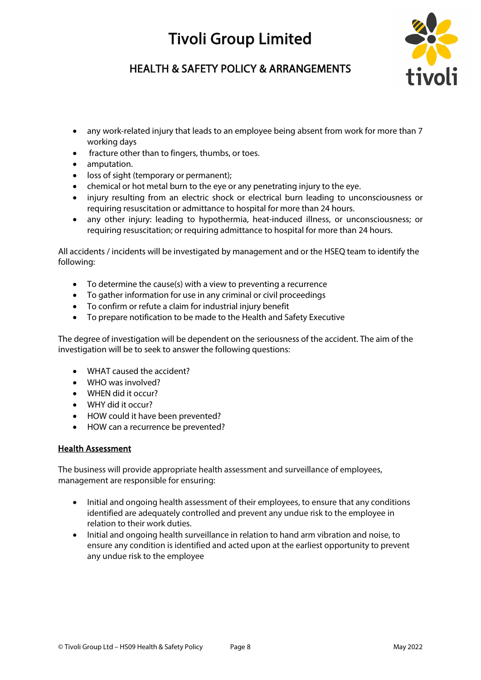

# HEALTH & SAFETY POLICY & ARRANGEMENTS

- any work-related injury that leads to an employee being absent from work for more than 7 working days
- fracture other than to fingers, thumbs, or toes.
- amputation.
- loss of sight (temporary or permanent);
- chemical or hot metal burn to the eye or any penetrating injury to the eye.
- injury resulting from an electric shock or electrical burn leading to unconsciousness or requiring resuscitation or admittance to hospital for more than 24 hours.
- any other injury: leading to hypothermia, heat-induced illness, or unconsciousness; or requiring resuscitation; or requiring admittance to hospital for more than 24 hours.

All accidents / incidents will be investigated by management and or the HSEQ team to identify the following:

- To determine the cause(s) with a view to preventing a recurrence
- To gather information for use in any criminal or civil proceedings
- To confirm or refute a claim for industrial injury benefit
- To prepare notification to be made to the Health and Safety Executive

The degree of investigation will be dependent on the seriousness of the accident. The aim of the investigation will be to seek to answer the following questions:

- WHAT caused the accident?
- WHO was involved?
- WHEN did it occur?
- WHY did it occur?
- HOW could it have been prevented?
- HOW can a recurrence be prevented?

### Health Assessment

The business will provide appropriate health assessment and surveillance of employees, management are responsible for ensuring:

- Initial and ongoing health assessment of their employees, to ensure that any conditions identified are adequately controlled and prevent any undue risk to the employee in relation to their work duties.
- Initial and ongoing health surveillance in relation to hand arm vibration and noise, to ensure any condition is identified and acted upon at the earliest opportunity to prevent any undue risk to the employee